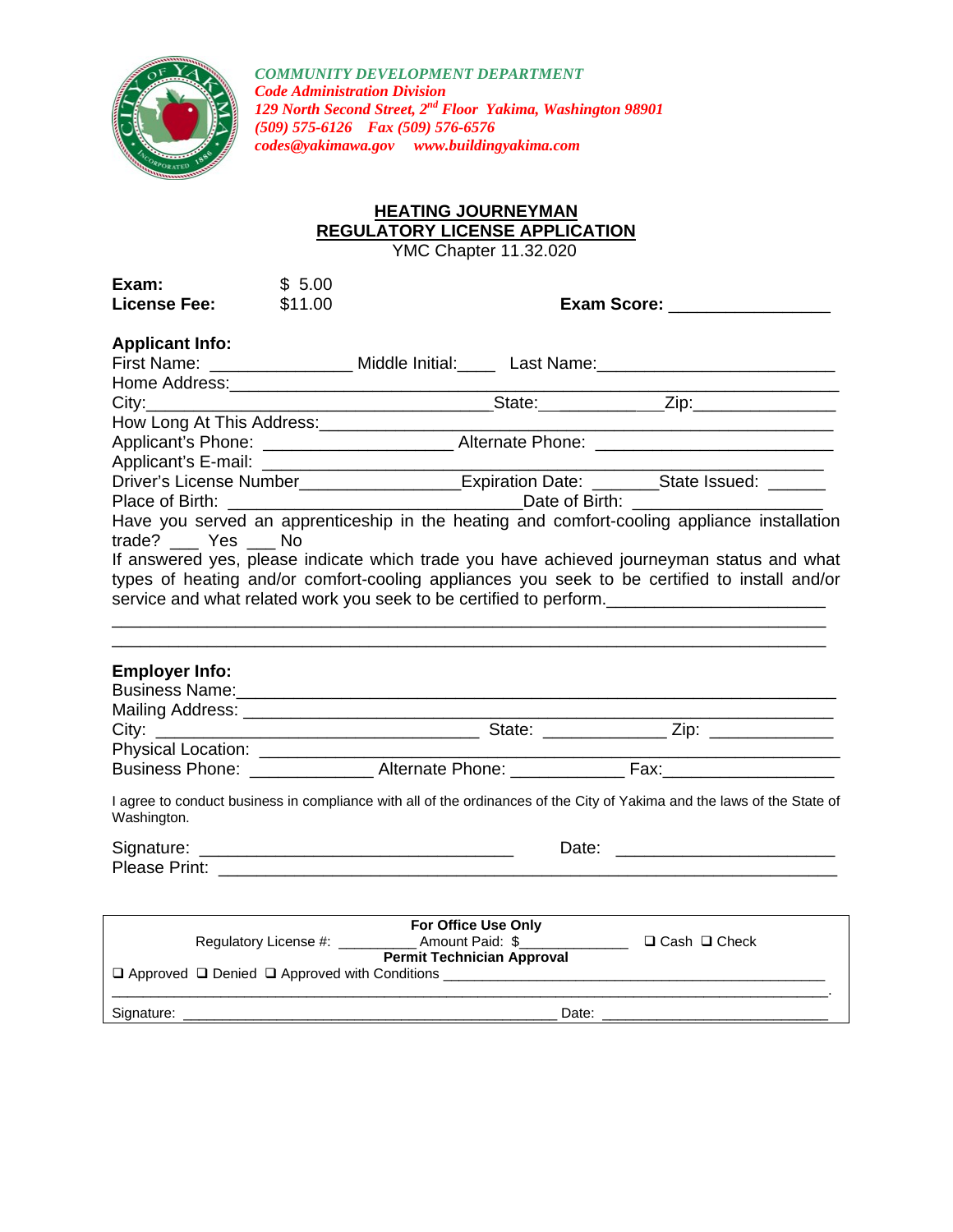

*COMMUNITY DEVELOPMENT DEPARTMENT Code Administration Division 129 North Second Street, 2nd Floor Yakima, Washington 98901 (509) 575-6126 Fax (509) 576-6576 codes@yakimawa.gov www.buildingyakima.com* 

## **HEATING JOURNEYMAN REGULATORY LICENSE APPLICATION**

YMC Chapter 11.32.020

| Exam:<br><b>License Fee:</b>                  | \$5.00<br>\$11.00 |                                                                                                                                                                                                                                                                  | Exam Score: __________________ |
|-----------------------------------------------|-------------------|------------------------------------------------------------------------------------------------------------------------------------------------------------------------------------------------------------------------------------------------------------------|--------------------------------|
| <b>Applicant Info:</b>                        |                   | First Name: ____________________ Middle Initial:_______ Last Name: ________________________________                                                                                                                                                              |                                |
|                                               |                   |                                                                                                                                                                                                                                                                  |                                |
| How Long At This Address:____________________ |                   | Applicant's Phone: ________________________Alternate Phone: ____________________                                                                                                                                                                                 |                                |
|                                               |                   | Driver's License Number_____________________Expiration Date: ________State Issued: _______                                                                                                                                                                       |                                |
| trade? __ Yes __ No                           |                   | Have you served an apprenticeship in the heating and comfort-cooling appliance installation                                                                                                                                                                      |                                |
|                                               |                   | If answered yes, please indicate which trade you have achieved journeyman status and what<br>types of heating and/or comfort-cooling appliances you seek to be certified to install and/or<br>service and what related work you seek to be certified to perform. |                                |
| <b>Employer Info:</b>                         |                   | Business Name: 1990 Communication of the Sun of Table 1991 Communication of the Sun of Table 1991 Communication                                                                                                                                                  |                                |
|                                               |                   |                                                                                                                                                                                                                                                                  |                                |
|                                               |                   |                                                                                                                                                                                                                                                                  |                                |
|                                               |                   |                                                                                                                                                                                                                                                                  |                                |
| Washington.                                   |                   | I agree to conduct business in compliance with all of the ordinances of the City of Yakima and the laws of the State of                                                                                                                                          |                                |
|                                               |                   |                                                                                                                                                                                                                                                                  |                                |
|                                               |                   | <b>Permit Technician Approval</b>                                                                                                                                                                                                                                |                                |
|                                               |                   |                                                                                                                                                                                                                                                                  |                                |
| Signature:                                    |                   | Date:                                                                                                                                                                                                                                                            |                                |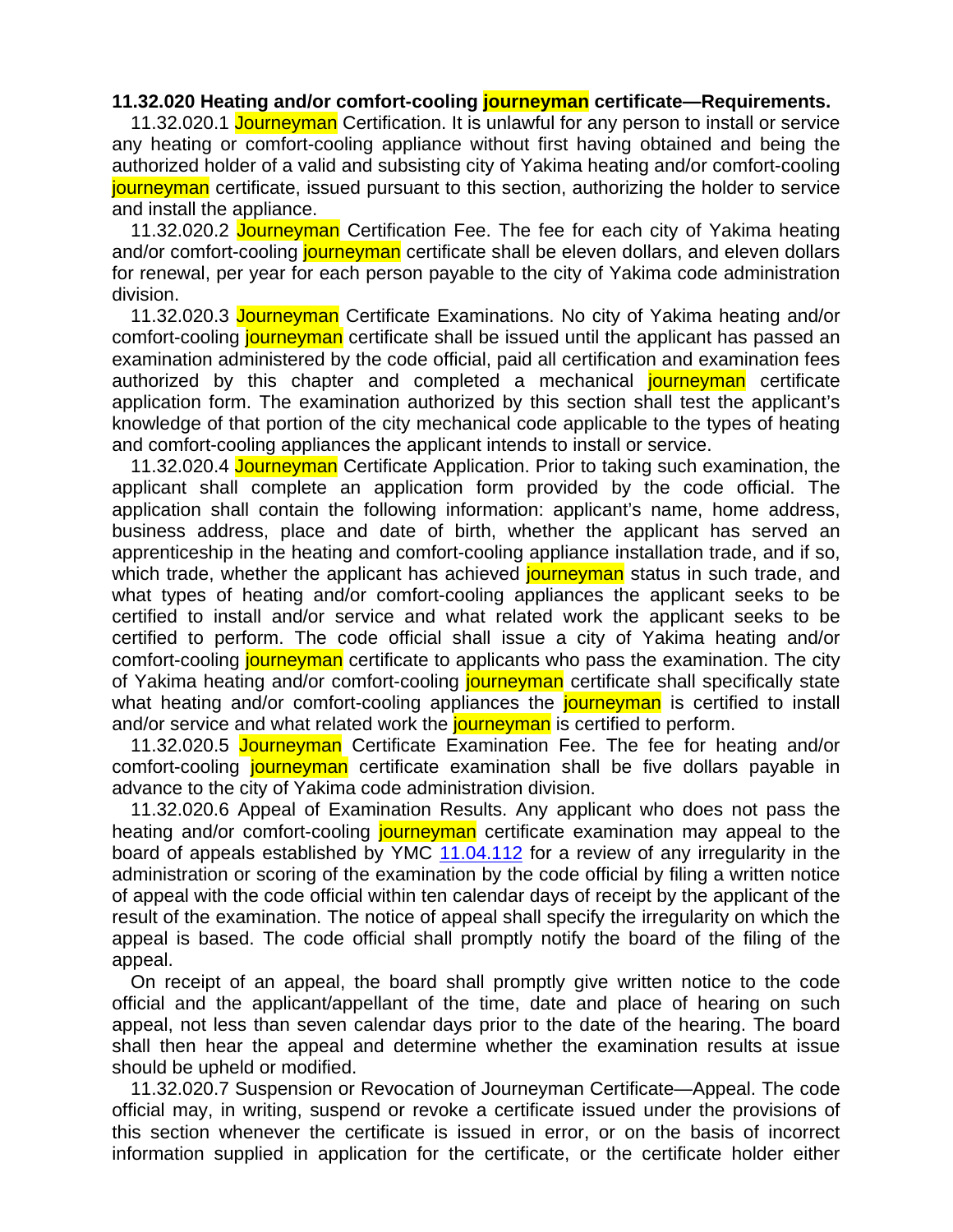## **11.32.020 Heating and/or comfort-cooling journeyman certificate—Requirements.**

11.32.020.1 Journeyman Certification. It is unlawful for any person to install or service any heating or comfort-cooling appliance without first having obtained and being the authorized holder of a valid and subsisting city of Yakima heating and/or comfort-cooling journeyman certificate, issued pursuant to this section, authorizing the holder to service and install the appliance.

11.32.020.2 Journeyman Certification Fee. The fee for each city of Yakima heating and/or comfort-cooling journeyman certificate shall be eleven dollars, and eleven dollars for renewal, per year for each person payable to the city of Yakima code administration division.

11.32.020.3 Journeyman Certificate Examinations. No city of Yakima heating and/or comfort-cooling journeyman certificate shall be issued until the applicant has passed an examination administered by the code official, paid all certification and examination fees authorized by this chapter and completed a mechanical journeyman certificate application form. The examination authorized by this section shall test the applicant's knowledge of that portion of the city mechanical code applicable to the types of heating and comfort-cooling appliances the applicant intends to install or service.

11.32.020.4 Journeyman Certificate Application. Prior to taking such examination, the applicant shall complete an application form provided by the code official. The application shall contain the following information: applicant's name, home address, business address, place and date of birth, whether the applicant has served an apprenticeship in the heating and comfort-cooling appliance installation trade, and if so, which trade, whether the applicant has achieved journeyman status in such trade, and what types of heating and/or comfort-cooling appliances the applicant seeks to be certified to install and/or service and what related work the applicant seeks to be certified to perform. The code official shall issue a city of Yakima heating and/or comfort-cooling journeyman certificate to applicants who pass the examination. The city of Yakima heating and/or comfort-cooling journeyman certificate shall specifically state what heating and/or comfort-cooling appliances the **journeyman** is certified to install and/or service and what related work the journeyman is certified to perform.

11.32.020.5 Journeyman Certificate Examination Fee. The fee for heating and/or comfort-cooling journeyman certificate examination shall be five dollars payable in advance to the city of Yakima code administration division.

11.32.020.6 Appeal of Examination Results. Any applicant who does not pass the heating and/or comfort-cooling journeyman certificate examination may appeal to the board of appeals established by YMC 11.04.112 for a review of any irregularity in the administration or scoring of the examination by the code official by filing a written notice of appeal with the code official within ten calendar days of receipt by the applicant of the result of the examination. The notice of appeal shall specify the irregularity on which the appeal is based. The code official shall promptly notify the board of the filing of the appeal.

On receipt of an appeal, the board shall promptly give written notice to the code official and the applicant/appellant of the time, date and place of hearing on such appeal, not less than seven calendar days prior to the date of the hearing. The board shall then hear the appeal and determine whether the examination results at issue should be upheld or modified.

11.32.020.7 Suspension or Revocation of Journeyman Certificate—Appeal. The code official may, in writing, suspend or revoke a certificate issued under the provisions of this section whenever the certificate is issued in error, or on the basis of incorrect information supplied in application for the certificate, or the certificate holder either